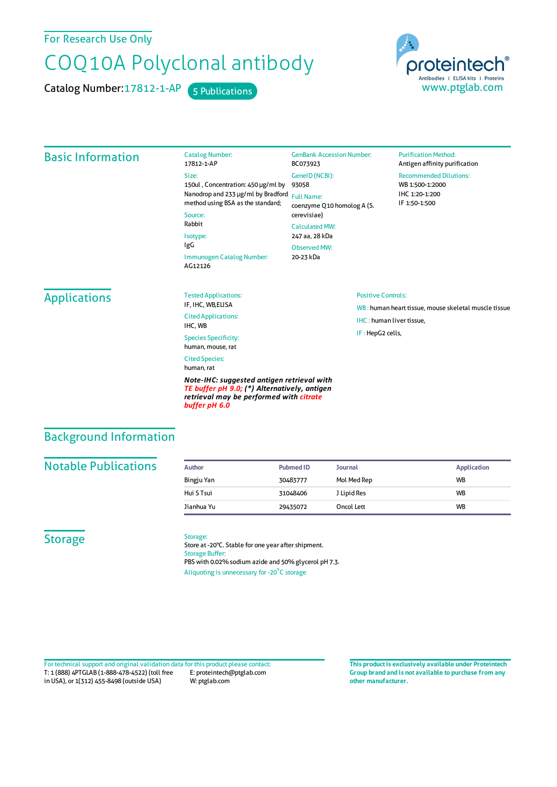For Research Use Only

# COQ10A Polyclonal antibody

Catalog Number: 17812-1-AP 5 Publications

proteintech Antibodies | ELISA kits | Proteins www.ptglab.com

#### Basic Information Catalog Number: 17812-1-AP Size: 150ul , Concentration: 450 μg/ml by Nanodrop and 233 μg/ml by Bradford Full Name: method using BSA as the standard; Source: Rabbit Isotype: IgG Immunogen Catalog Number: AG12126 GenBank Accession Number: BC073923 GeneID(NCBI): 93058 coenzyme Q10 homolog A (S. cerevisiae) CalculatedMW: 247 aa, 28 kDa ObservedMW: 20-23 kDa **Purification Method:** Antigen affinity purification Recommended Dilutions: WB 1:500-1:2000 IHC 1:20-1:200 IF 1:50-1:500 **Applications** Tested Applications: IF, IHC, WB,ELISA Cited Applications: IHC, WB Species Specificity: human, mouse, rat Cited Species: human, rat *Note-IHC: suggested antigen retrieval with TE buffer pH 9.0; (\*) Alternatively, antigen retrieval may be performed with citrate buffer pH 6.0* Positive Controls: WB : human heart tissue, mouse skeletal muscle tissue IHC : human liver tissue, IF : HepG2 cells,

### Background Information

#### **Notable Publications**

| <b>Author</b> | Pubmed ID | <b>Journal</b> | Application |
|---------------|-----------|----------------|-------------|
| Bingju Yan    | 30483777  | Mol Med Rep    | <b>WB</b>   |
| Hui S Tsui    | 31048406  | J Lipid Res    | <b>WB</b>   |
| Jianhua Yu    | 29435072  | Oncol Lett     | <b>WB</b>   |

#### **Storage**

#### Storage:

Store at -20°C. Stable for one year after shipment. Storage Buffer: PBS with 0.02% sodium azide and 50% glycerol pH 7.3. Aliquoting is unnecessary for -20<sup>°</sup>C storage

T: 1 (888) 4PTGLAB (1-888-478-4522) (toll free in USA), or 1(312) 455-8498 (outside USA) E: proteintech@ptglab.com W: ptglab.com Fortechnical support and original validation data forthis product please contact: **This productis exclusively available under Proteintech**

**Group brand and is not available to purchase from any other manufacturer.**